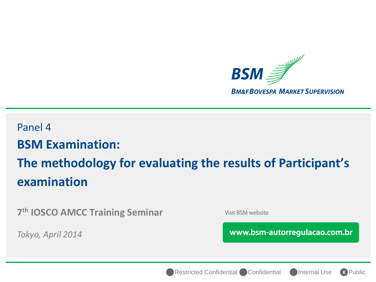

# Panel 4 **BSM Examination: The methodology for evaluating the results of Participant's examination**

**7 th IOSCO AMCC Training Seminar** 

*Tokyo, April 2014*

Visit BSM website

www.bsm-autorregulacao.com.br

Restricted Confidential Confidential Confermal Use



**X**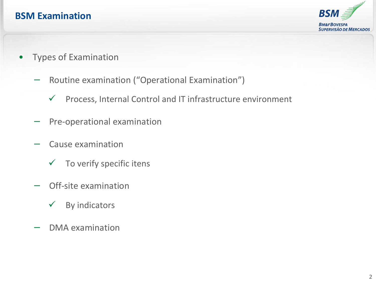### **BSM Examination**



- Types of Examination
	- − Routine examination ("Operational Examination")
		- $\checkmark$  Process, Internal Control and IT infrastructure environment
	- Pre-operational examination
	- − Cause examination
		- $\checkmark$  To verify specific itens
	- Off-site examination
		- $\checkmark$  By indicators
	- − DMA examination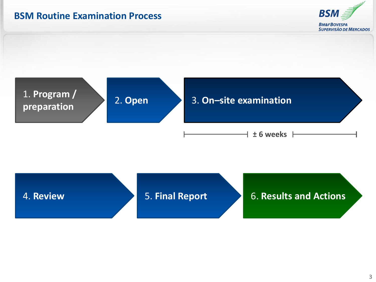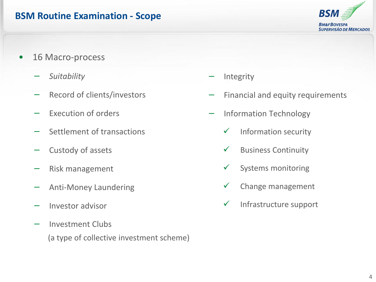#### **BSM Routine Examination - Scope**



- 16 Macro-process
	- − *Suitability*
	- Record of clients/investors
	- − Execution of orders
	- − Settlement of transactions
	- − Custody of assets
	- − Risk management
	- − Anti-Money Laundering
	- − Investor advisor
	- − Investment Clubs (a type of collective investment scheme)
- − Integrity
- Financial and equity requirements
- − Information Technology
	- $\checkmark$  Information security
	- $\checkmark$  Business Continuity
	- $\checkmark$  Systems monitoring
	- Change management
	- $\checkmark$  Infrastructure support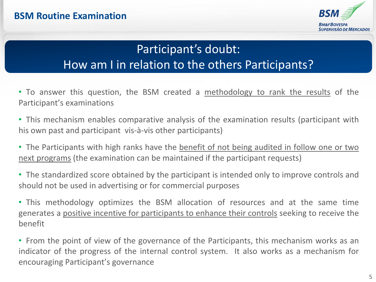

# Participant's doubt: How am I in relation to the others Participants?

- To answer this question, the BSM created a methodology to rank the results of the Participant's examinations
- This mechanism enables comparative analysis of the examination results (participant with his own past and participant vis-à-vis other participants)
- The Participants with high ranks have the benefit of not being audited in follow one or two next programs (the examination can be maintained if the participant requests)
- The standardized score obtained by the participant is intended only to improve controls and should not be used in advertising or for commercial purposes
- This methodology optimizes the BSM allocation of resources and at the same time generates a positive incentive for participants to enhance their controls seeking to receive the benefit
- From the point of view of the governance of the Participants, this mechanism works as an indicator of the progress of the internal control system. It also works as a mechanism for encouraging Participant's governance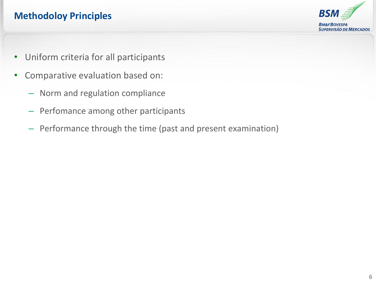# **Methodoloy Principles**



- Uniform criteria for all participants
- Comparative evaluation based on:
	- Norm and regulation compliance
	- Perfomance among other participants
	- Performance through the time (past and present examination)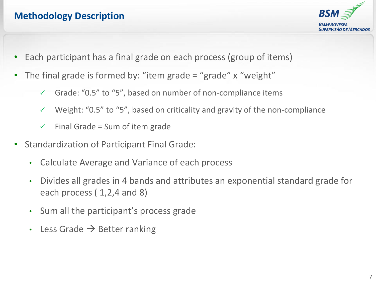# **Methodology Description**



- Each participant has a final grade on each process (group of items)
- The final grade is formed by: "item grade = "grade"  $x$  "weight"
	- $\checkmark$  Grade: "0.5" to "5", based on number of non-compliance items
	- $\checkmark$  Weight: "0.5" to "5", based on criticality and gravity of the non-compliance
	- $\checkmark$  Final Grade = Sum of item grade
- Standardization of Participant Final Grade:
	- Calculate Average and Variance of each process
	- Divides all grades in 4 bands and attributes an exponential standard grade for each process (1,2,4 and 8)
	- Sum all the participant's process grade
	- Less Grade  $\rightarrow$  Better ranking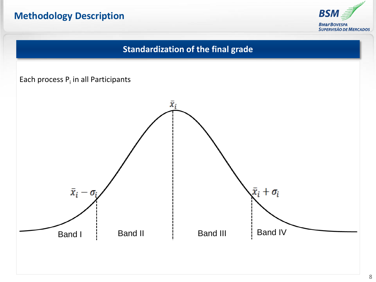### **Methodology Description**



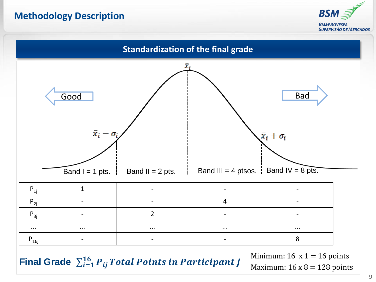#### **Methodology Description**





Final Grade  $\sum_{i=1}^{16} P_{ij}$  Total Points in Participant j

Minimum:  $16 \times 1 = 16$  points Maximum:  $16 \times 8 = 128$  points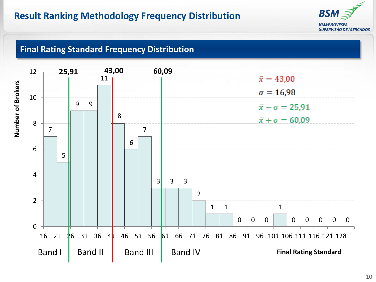

#### **Final Rating Standard Frequency Distribution**

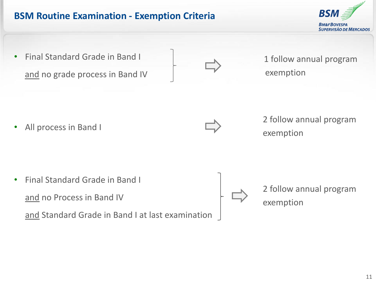#### **BSM Routine Examination - Exemption Criteria**

• Final Standard Grade in Band I and no grade process in Band IV

1 follow annual program exemption

All process in Band I



2 follow annual program exemption

• Final Standard Grade in Band I and no Process in Band IV and Standard Grade in Band I at last examination 2 follow annual program exemption

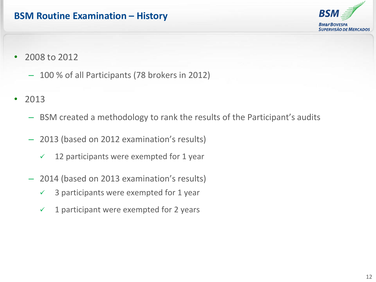#### **BSM Routine Examination – History**



- 2008 to 2012
	- 100 % of all Participants (78 brokers in 2012)
- 2013
	- BSM created a methodology to rank the results of the Participant's audits
	- 2013 (based on 2012 examination's results)
		- $\checkmark$  12 participants were exempted for 1 year
	- 2014 (based on 2013 examination's results)
		- $\checkmark$  3 participants were exempted for 1 year
		- $\checkmark$  1 participant were exempted for 2 years